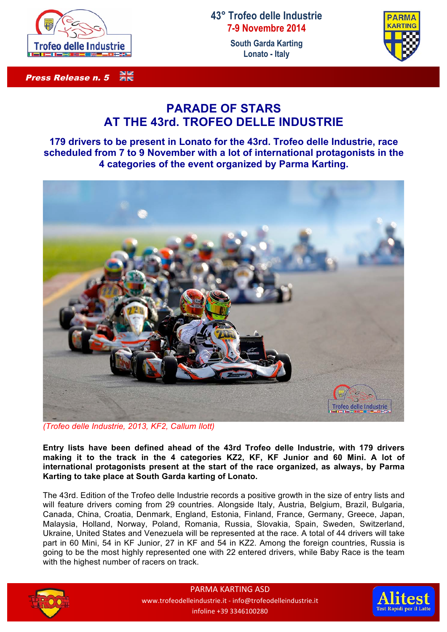

## 3K<br>2K Press Release n. 5

## **43° Trofeo delle Industrie 7-9 Novembre 2014**

**South Garda Karting Lonato - Italy**



## **PARADE OF STARS AT THE 43rd. TROFEO DELLE INDUSTRIE**

**179 drivers to be present in Lonato for the 43rd. Trofeo delle Industrie, race scheduled from 7 to 9 November with a lot of international protagonists in the 4 categories of the event organized by Parma Karting.**



*(Trofeo delle Industrie, 2013, KF2, Callum Ilott)*

**Entry lists have been defined ahead of the 43rd Trofeo delle Industrie, with 179 drivers making it to the track in the 4 categories KZ2, KF, KF Junior and 60 Mini. A lot of international protagonists present at the start of the race organized, as always, by Parma Karting to take place at South Garda karting of Lonato.**

The 43rd. Edition of the Trofeo delle Industrie records a positive growth in the size of entry lists and will feature drivers coming from 29 countries. Alongside Italy, Austria, Belgium, Brazil, Bulgaria, Canada, China, Croatia, Denmark, England, Estonia, Finland, France, Germany, Greece, Japan, Malaysia, Holland, Norway, Poland, Romania, Russia, Slovakia, Spain, Sweden, Switzerland, Ukraine, United States and Venezuela will be represented at the race. A total of 44 drivers will take part in 60 Mini, 54 in KF Junior, 27 in KF and 54 in KZ2. Among the foreign countries, Russia is going to be the most highly represented one with 22 entered drivers, while Baby Race is the team with the highest number of racers on track.



PARMA KARTING ASD www.trofeodelleindustrie.it - info@trofeodelleindustrie.it infoline +39 3346100280